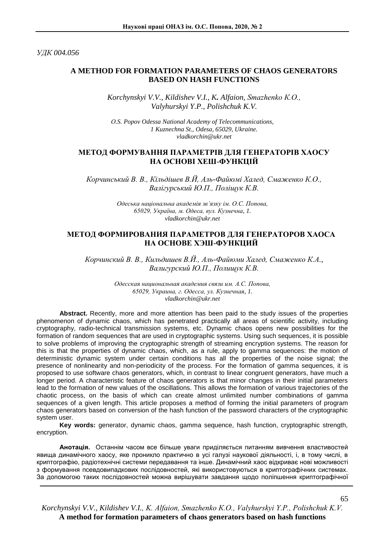*УДК 004.056*

# **A METHOD FOR FORMATION PARAMETERS OF CHAOS GENERATORS BASED ON HASH FUNCTIONS**

*Korchynskyi V.V., Kildishev V.I., K. Alfaion, Smazhenko К.О., Valyhurskyi Y.P., Polishchuk K.V.*

*О.S. Popov Odessa National Academy of Telecommunications, 1 Kuznechna St., Odesa, 65029, Ukraine. vladkorchin@ukr.net*

# **МЕТОД ФОРМУВАННЯ ПАРАМЕТРІВ ДЛЯ ГЕНЕРАТОРІВ ХАОСУ НА ОСНОВІ ХЕШ-ФУНКЦІЙ**

*Корчинський В. В., Кільдішев В.Й, Аль-Файюмі Халед, Смаженко К.О., Валігурський Ю.П., Поліщук К.В.* 

> *Одеська національна академія зв'язку ім. О.С. Попова, 65029, Україна, м. Одеса, вул. Кузнечна, 1. vladkorchin@ukr.net*

## **МЕТОД ФОРМИРОВАНИЯ ПАРАМЕТРОВ ДЛЯ ГЕНЕРАТОРОВ ХАОСА НА ОСНОВЕ ХЭШ-ФУНКЦИЙ**

*Корчинский В. В., Кильдишев В.Й., Аль-Файюми Халед, Смаженко К.А., Валигурский Ю.П., Полищук К.В.*

> *Одесская национальная академия связи им. А.С. Попова, 65029, Украина, г. Одесса, ул. Кузнечная, 1. vladkorchin@ukr.net*

**Abstract.** Recently, more and more attention has been paid to the study issues of the properties phenomenon of dynamic chaos, which has penetrated practically all areas of scientific activity, including cryptography, radio-technical transmission systems, etc. Dynamic chaos opens new possibilities for the formation of random sequences that are used in cryptographic systems. Using such sequences, it is possible to solve problems of improving the cryptographic strength of streaming encryption systems. The reason for this is that the properties of dynamic chaos, which, as a rule, apply to gamma sequences: the motion of deterministic dynamic system under certain conditions has all the properties of the noise signal; the presence of nonlinearity and non-periodicity of the process. For the formation of gamma sequences, it is proposed to use software chaos generators, which, in contrast to linear congruent generators, have much a longer period. A characteristic feature of chaos generators is that minor changes in their initial parameters lead to the formation of new values of the oscillations. This allows the formation of various trajectories of the chaotic process, on the basis of which can create almost unlimited number combinations of gamma sequences of a given length. This article proposes a method of forming the initial parameters of program chaos generators based on conversion of the hash function of the password characters of the cryptographic system user.

**Key words:** generator, dynamic chaos, gamma sequence, hash function, cryptographic strength, encryption.

**Анотація.** Останнім часом все більше уваги приділяється питанням вивчення властивостей явища динамічного хаосу, яке проникло практично в усі галузі наукової діяльності, і, в тому числі, в криптографію, радіотехнічні системи передавання та інше. Динамічний хаос відкриває нові можливості з формування псевдовипадкових послідовностей, які використовуються в криптографічних системах. За допомогою таких послідовностей можна вирішувати завдання щодо поліпшення криптографічної

*Korchynskyi V.V., Kildishev V.I., K. Alfaion, Smazhenko К.О., Valyhurskyi Y.P., Polishchuk K.V.*  **A method for formation parameters of chaos generators based on hash functions**

65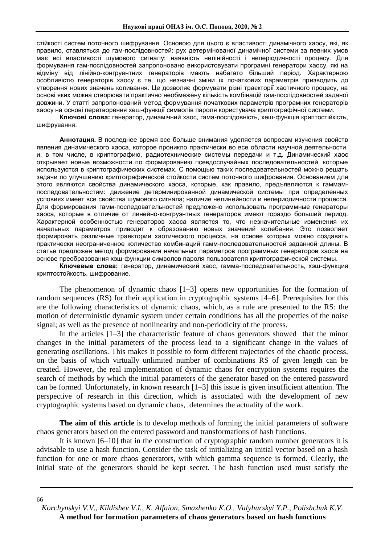стійкості систем поточного шифрування. Основою для цього є властивості динамічного хаосу, які, як правило, ставляться до гам-послідовностей: рух детермінованої динамічної системи за певних умов має всі властивості шумового сигналу; наявність нелінійності і неперіодичності процесу. Для формування гам-послідовностей запропоновано використовувати програмні генератори хаосу, які на відміну від лінійно-конгруентних генераторів мають набагато більший період. Характерною особливістю генераторів хаосу є те, що незначні зміни їх початкових параметрів призводить до утворення нових значень коливання. Це дозволяє формувати різні траєкторії хаотичного процесу, на основі яких можна створювати практично необмежену кількість комбінацій гам-послідовностей заданої довжини. У статті запропонований метод формування початкових параметрів програмних генераторів хаосу на основі перетворення хеш-функції символів пароля користувача криптографічної системи.

**Ключові слова:** генератор, динамічний хаос, гама-послідовність, хеш-функція криптостійкість, шифрування.

**Аннотация***.* В последнее время все больше внимания уделяется вопросам изучения свойств явления динамического хаоса, которое проникло практически во все области научной деятельности, и, в том числе, в криптографию, радиотехнические системы передачи и т.д. Динамический хаос открывает новые возможности по формированию псевдослучайных последовательностей, которые используются в криптографических системах. С помощью таких последовательностей можно решать задачи по улучшению криптографической стойкости систем поточного шифрования. Основанием для этого являются свойства динамического хаоса, которые, как правило, предъявляются к гаммампоследовательностям: движение детерминированной динамической системы при определенных условиях имеет все свойства шумового сигнала; наличие нелинейности и непериодичности процесса. Для формирования гамм-последовательностей предложено использовать программные генераторы хаоса, которые в отличие от линейно-конгруэнтных генераторов имеют гораздо больший период. Характерной особенностью генераторов хаоса является то, что незначительные изменения их начальных параметров приводит к образованию новых значений колебания. Это позволяет формировать различные траектории хаотического процесса, на основе которых можно создавать практически неограниченное количество комбинаций гамм-последовательностей заданной длины. В статье предложен метод формирования начальных параметров программных генераторов хаоса на основе преобразования хэш-функции символов пароля пользователя криптографической системы.

**Ключевые слова:** генератор, динамический хаос, гамма-последовательность, хэш-функция криптостойкость, шифрование.

The phenomenon of dynamic chaos [1–3] opens new opportunities for the formation of random sequences (RS) for their application in cryptographic systems [4–6]. Prerequisites for this are the following characteristics of dynamic chaos, which, as a rule are presented to the RS: the motion of deterministic dynamic system under certain conditions has all the properties of the noise signal; as well as the presence of nonlinearity and non-periodicity of the process.

In the articles [1–3] the characteristic feature of chaos generators showed that the minor changes in the initial parameters of the process lead to a significant change in the values of generating oscillations. This makes it possible to form different trajectories of the chaotic process, on the basis of which virtually unlimited number of combinations RS of given length can be created. However, the real implementation of dynamic chaos for encryption systems requires the search of methods by which the initial parameters of the generator based on the entered password can be formed. Unfortunately, in known research [1–3] this issue is given insufficient attention. The perspective of research in this direction, which is associated with the development of new cryptographic systems based on dynamic chaos, determines the actuality of the work.

**The aim of this article** is to develop methods of forming the initial parameters of software chaos generators based on the entered password and transformations of hash functions.

It is known [6–10] that in the construction of cryptographic random number generators it is advisable to use a hash function. Consider the task of initializing an initial vector based on a hash function for one or more chaos generators, with which gamma sequence is formed. Clearly, the initial state of the generators should be kept secret. The hash function used must satisfy the

66

*Korchynskyi V.V., Kildishev V.I., K. Alfaion, Smazhenko К.О., Valyhurskyi Y.P., Polishchuk K.V.*  **A method for formation parameters of chaos generators based on hash functions**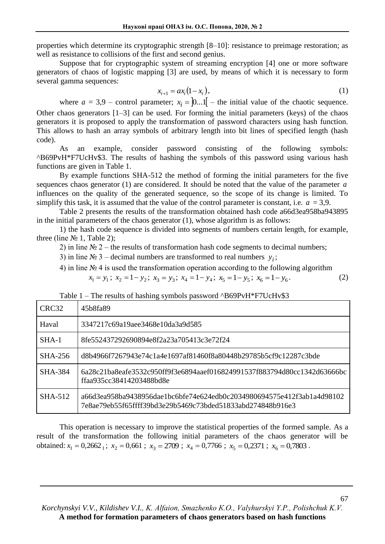properties which determine its cryptographic strength [8–10]: resistance to preimage restoration; as well as resistance to collisions of the first and second genius.

Suppose that for cryptographic system of streaming encryption [4] one or more software generators of chaos of logistic mapping [3] are used, by means of which it is necessary to form several gamma sequences:

$$
x_{i+1} = ax_i(1-x_i),
$$
 (1)

where  $a = 3.9$  – control parameter;  $x_i = \begin{bmatrix} 0 & 0 \\ 0 & i \end{bmatrix}$  – the initial value of the chaotic sequence. Other chaos generators [1–3] can be used. For forming the initial parameters (keys) of the chaos generators it is proposed to apply the transformation of password characters using hash function. This allows to hash an array symbols of arbitrary length into bit lines of specified length (hash code).

As an example, consider password consisting of the following symbols: ^B69PvH\*F7UcHv\$3. The results of hashing the symbols of this password using various hash functions are given in Table 1.

By example functions SHA-512 the method of forming the initial parameters for the five sequences chaos generator (1) are considered. It should be noted that the value of the parameter *a* influences on the quality of the generated sequence, so the scope of its change is limited. To simplify this task, it is assumed that the value of the control parameter is constant, i.e.  $a = 3.9$ .

Table 2 presents the results of the transformation obtained hash code a66d3ea958ba943895 in the initial parameters of the chaos generator (1), whose algorithm is as follows:

1) the hash code sequence is divided into segments of numbers certain length, for example, three (line  $N_2$  1, Table 2);

2) in line  $\mathcal{N}_2$  2 – the results of transformation hash code segments to decimal numbers;

3) in line  $N_2$  3 – decimal numbers are transformed to real numbers  $y_i$ ;

4) in line № 4 is used the transformation operation according to the following algorithm

$$
x_1 = y_1; \ x_2 = 1 - y_2; \ x_3 = y_3; \ x_4 = 1 - y_4; \ x_5 = 1 - y_5; \ x_6 = 1 - y_6. \tag{2}
$$

Table  $1$  – The results of hashing symbols password  $^{6}$ B69PvH $^{*}$ F7UcHv $$3$ 

| CRC <sub>32</sub> | 45b8fa89                                                                                                                              |
|-------------------|---------------------------------------------------------------------------------------------------------------------------------------|
| Haval             | 3347217c69a19aee3468e10da3a9d585                                                                                                      |
| $SHA-1$           | 8fe552437292690894e8f2a23a705413c3e72f24                                                                                              |
| SHA-256           | d8b4966f7267943e74c1a4e1697af81460f8a80448b29785b5cf9c12287c3bde                                                                      |
| <b>SHA-384</b>    | 6a28c21ba8eafe3532c950ff9f3e6894aaef016824991537f883794d80cc1342d63666bc<br>ffaa935cc38414203488bd8e                                  |
| SHA-512           | a66d3ea958ba9438956dae1bc6bfe74e624edb0c2034980694575e412f3ab1a4d98102<br>7e8ae79eb55f65fffff39bd3e29b5469c73bded51833abd274848b916e3 |

This operation is necessary to improve the statistical properties of the formed sample. As a result of the transformation the following initial parameters of the chaos generator will be obtained:  $x_1 = 0.2662_1$ ;  $x_2 = 0.661$ ;  $x_3 = 2709$ ;  $x_4 = 0.7766$ ;  $x_5 = 0.2371$ ;  $x_6 = 0.7803$ .

*Korchynskyi V.V., Kildishev V.I., K. Alfaion, Smazhenko К.О., Valyhurskyi Y.P., Polishchuk K.V.*  **A method for formation parameters of chaos generators based on hash functions**

67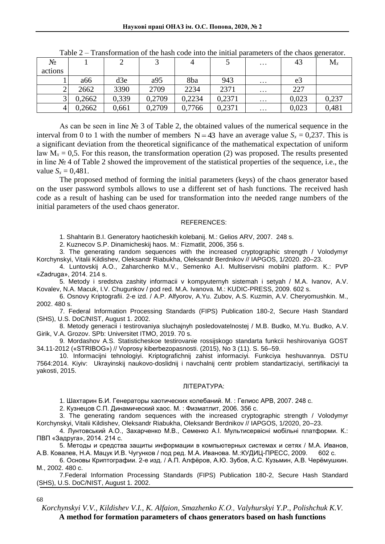| N₫      |        | ∠     |        |        |        | $\cdots$ | 43             | $M_{x}$ |
|---------|--------|-------|--------|--------|--------|----------|----------------|---------|
| actions |        |       |        |        |        |          |                |         |
|         | a66    | d3e   | a95    | 8ba    | 943    | $\cdots$ | e <sub>3</sub> |         |
| ∠       | 2662   | 3390  | 2709   | 2234   | 2371   | $\cdots$ | 227            |         |
| J       | 0,2662 | 0,339 | 0,2709 | 0,2234 | 0,2371 | $\cdots$ | 0,023          | 0,237   |
|         | 0,2662 | 0,661 | 0,2709 | 0,7766 | 0,2371 | $\cdots$ | 0,023          | 0,481   |

Table 2 – Transformation of the hash code into the initial parameters of the chaos generator.

As can be seen in line № 3 of Table 2, the obtained values of the numerical sequence in the interval from 0 to 1 with the number of members  $N = 43$  have an average value  $S_x = 0.237$ . This is a significant deviation from the theoretical significance of the mathematical expectation of uniform law  $M_x = 0.5$ . For this reason, the transformation operation (2) was proposed. The results presented in line № 4 of Table 2 showed the improvement of the statistical properties of the sequence, i.e., the value  $S_x = 0.481$ .

The proposed method of forming the initial parameters (keys) of the chaos generator based on the user password symbols allows to use a different set of hash functions. The received hash code as a result of hashing can be used for transformation into the needed range numbers of the initial parameters of the used chaos generator.

#### REFERENCES:

1. Shahtarin B.I. Generatory haoticheskih kolebanij. M.: Gelios ARV, 2007. 248 s.

2. Kuznecov S.P. Dinamicheskij haos. M.: Fizmatlit, 2006, 356 s.

3. The generating random sequences with the increased cryptographic strength / Volodymyr Korchynskyi, Vitalii Kildishev, Oleksandr Riabukha, Oleksandr Berdnikov // IAPGOS, 1/2020. 20–23.

4. Luntovskij A.O., Zaharchenko M.V., Semenko A.I. Multiservisni mobilni platform. K.: PVP «Zadruga», 2014. 214 s.

5. Metody i sredstva zashity informacii v kompyuternyh sistemah i setyah / M.A. Ivanov, A.V. Kovalev, N.A. Macuk, I.V. Chugunkov / pod red. M.A. Ivanova. M.: KUDIC-PRESS, 2009. 602 s.

6. Osnovy Kriptografii. 2-e izd. / A.P. Alfyorov, A.Yu. Zubov, A.S. Kuzmin, A.V. Cheryomushkin. M., 2002. 480 s.

7. Federal Information Processing Standards (FIPS) Publication 180-2, Secure Hash Standard (SHS), U.S. DoC/NIST, August 1. 2002.

8. Metody generacii i testirovaniya sluchajnyh posledovatelnostej / M.B. Budko, M.Yu. Budko, A.V. Girik, V.A. Grozov. SPb: Universitet ITMO, 2019. 70 s.

9. Mordashov A.S. Statisticheskoe testirovanie rossijskogo standarta funkcii heshirovaniya GOST 34.11-2012 («STRIBOG») // Voprosy kiberbezopasnosti. (2015), No 3 (11). S. 56–59.

10. Informacijni tehnologiyi. Kriptografichnij zahist informaciyi. Funkciya heshuvannya. DSTU 7564:2014. Kiyiv: Ukrayinskij naukovo-doslidnij i navchalnij centr problem standartizaciyi, sertifikaciyi ta yakosti, 2015.

### ЛІТЕРАТУРА:

1. Шахтарин Б.И. Генераторы хаотических колебаний. М. : Гелиос АРВ, 2007. 248 с.

2. Кузнецов С.П. Динамический хаос. М. : Физматлит, 2006. 356 с.

3. The generating random sequences with the increased cryptographic strength / Volodymyr Korchynskyi, Vitalii Kildishev, Oleksandr Riabukha, Oleksandr Berdnikov // IAPGOS, 1/2020, 20–23.

4. Лунтовський А.О., Захарченко М.В., Семенко А.І. Мультисервісні мобільні платформи. К.: ПВП «Задруга», 2014. 214 с.

5. Методы и средства защиты информации в компьютерных системах и сетях / М.А. Иванов, А.В. Ковалев, Н.А. Мацук И.В. Чугунков / под ред. М.А. Иванова. М.:КУДИЦ-ПРЕСС, 2009. 602 с.

6. Основы Криптографии. 2-е изд. / А.П. Алфёров, А.Ю. Зубов, А.С. Кузьмин, А.В. Черёмушкин. М., 2002. 480 с.

7.Federal Information Processing Standards (FIPS) Publication 180-2, Secure Hash Standard (SHS), U.S. DoC/NIST, August 1. 2002.

68

*Korchynskyi V.V., Kildishev V.I., K. Alfaion, Smazhenko К.О., Valyhurskyi Y.P., Polishchuk K.V.*  **A method for formation parameters of chaos generators based on hash functions**